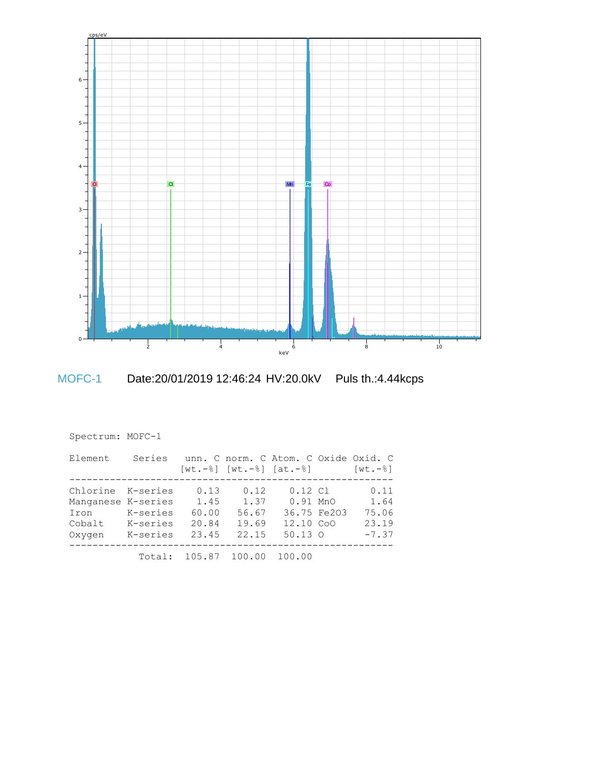



MOFC-1 Date:20/01/2019 12:46:24 HV:20.0kV Puls th.:4.44kcps

| Spectrum: MOFC-1   |          |                                      |       |                           |             |                         |
|--------------------|----------|--------------------------------------|-------|---------------------------|-------------|-------------------------|
| Element            | Series   | unn. C norm. C Atom. C Oxide Oxid. C |       | [wt.-%] [wt.-%] [at.-%]   |             | $\lceil wt. - 8 \rceil$ |
| Chlorine K-series  |          | 0.13                                 | 0.12  | $0.12 \text{ } \text{C}1$ |             | 0.11                    |
| Manganese K-series |          | 1.45                                 | 1.37  | $0.91$ MnO                |             | 1.64                    |
| Iron               | K-series | 60.00                                | 56.67 |                           | 36.75 Fe203 | 75.06                   |
| Cobalt             | K-series | 20.84                                | 19.69 | 12.10 CoO                 |             | 23.19                   |
| Oxygen             | K-series | 23.45                                | 22.15 | $50.13$ O                 |             | $-7.37$                 |
|                    |          | Total: 105.87 100.00                 |       | 100.00                    |             |                         |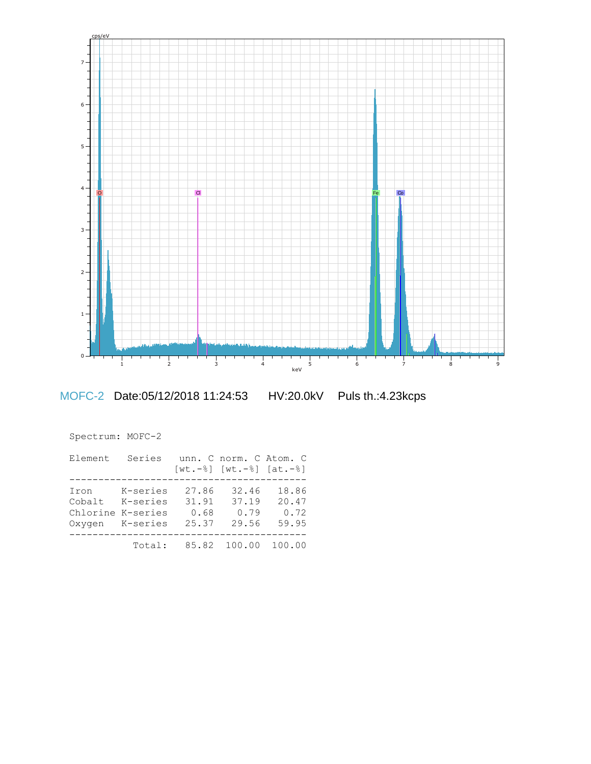

MOFC-2 Date:05/12/2018 11:24:53 HV:20.0kV Puls th.:4.23kcps

| Spectrum: MOFC-2                              |                                  |                                 |                                                         |                                 |
|-----------------------------------------------|----------------------------------|---------------------------------|---------------------------------------------------------|---------------------------------|
| Element                                       | Series                           |                                 | unn, C norm, C Atom, C<br>$[wt.-8]$ $[wt.-8]$ $[at.-8]$ |                                 |
| Iron<br>Cobalt<br>Chlorine K-series<br>Oxygen | K-series<br>K-series<br>K-series | 27.86<br>31.91<br>0.68<br>25.37 | 32.46<br>37.19<br>0.79<br>29.56                         | 18.86<br>20.47<br>0.72<br>59.95 |
|                                               | Total:                           | 85.82                           | 100.00                                                  | 100.00                          |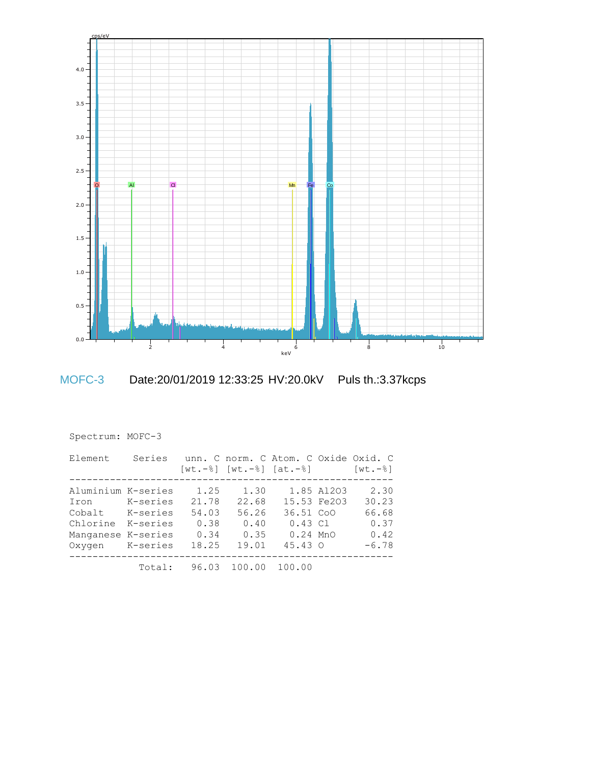

MOFC-3 Date:20/01/2019 12:33:25 HV:20.0kV Puls th.:3.37kcps

| Spectrum: MOFC-3                                                                                            |          |                                                 |                                                 |                                                                        |                           |                                                   |
|-------------------------------------------------------------------------------------------------------------|----------|-------------------------------------------------|-------------------------------------------------|------------------------------------------------------------------------|---------------------------|---------------------------------------------------|
| Element                                                                                                     |          |                                                 |                                                 | Series unn. C norm. C Atom. C Oxide Oxid. C<br>[wt.-%] [wt.-%] [at.-%] |                           | [wt.-%]                                           |
| Aluminium K-series<br>Iron K-series<br>Cobalt K-series<br>Chlorine K-series<br>Manganese K-series<br>Oxygen | K-series | 1.25<br>21.78<br>54.03<br>0.38<br>0.34<br>18.25 | 1.30<br>22.68<br>56.26<br>0.40<br>0.35<br>19.01 | 36.51 CoO<br>0.43 Cl<br>$0.24$ MnO<br>$45.43 \Omega$                   | 1.85 A1203<br>15.53 Fe203 | 2.30<br>30.23<br>66.68<br>0.37<br>0.42<br>$-6.78$ |
|                                                                                                             | Total:   |                                                 | 96.03 100.00                                    | 100.00                                                                 |                           |                                                   |